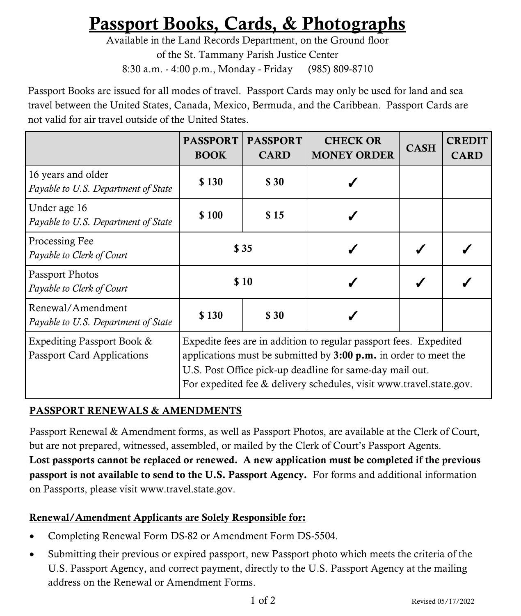# Passport Books, Cards, & Photographs

Available in the Land Records Department, on the Ground floor of the St. Tammany Parish Justice Center 8:30 a.m. - 4:00 p.m., Monday - Friday (985) 809-8710

Passport Books are issued for all modes of travel. Passport Cards may only be used for land and sea travel between the United States, Canada, Mexico, Bermuda, and the Caribbean. Passport Cards are not valid for air travel outside of the United States.

|                                                                 | <b>PASSPORT</b><br><b>BOOK</b>                                                                                                                                                                                                                                                     | <b>PASSPORT</b><br><b>CARD</b> | <b>CHECK OR</b><br><b>MONEY ORDER</b> | <b>CASH</b> | <b>CREDIT</b><br><b>CARD</b> |
|-----------------------------------------------------------------|------------------------------------------------------------------------------------------------------------------------------------------------------------------------------------------------------------------------------------------------------------------------------------|--------------------------------|---------------------------------------|-------------|------------------------------|
| 16 years and older<br>Payable to U.S. Department of State       | \$130                                                                                                                                                                                                                                                                              | \$ 30                          |                                       |             |                              |
| Under age 16<br>Payable to U.S. Department of State             | \$100                                                                                                                                                                                                                                                                              | \$15                           |                                       |             |                              |
| Processing Fee<br>Payable to Clerk of Court                     | \$35                                                                                                                                                                                                                                                                               |                                |                                       |             |                              |
| Passport Photos<br>Payable to Clerk of Court                    | \$10                                                                                                                                                                                                                                                                               |                                |                                       |             |                              |
| Renewal/Amendment<br>Payable to U.S. Department of State        | \$130                                                                                                                                                                                                                                                                              | \$ 30                          |                                       |             |                              |
| Expediting Passport Book &<br><b>Passport Card Applications</b> | Expedite fees are in addition to regular passport fees. Expedited<br>applications must be submitted by $3:00 \text{ p.m.}$ in order to meet the<br>U.S. Post Office pick-up deadline for same-day mail out.<br>For expedited fee & delivery schedules, visit www.travel.state.gov. |                                |                                       |             |                              |

## PASSPORT RENEWALS & AMENDMENTS

Passport Renewal & Amendment forms, as well as Passport Photos, are available at the Clerk of Court, but are not prepared, witnessed, assembled, or mailed by the Clerk of Court's Passport Agents. Lost passports cannot be replaced or renewed. A new application must be completed if the previous passport is not available to send to the U.S. Passport Agency. For forms and additional information on Passports, please visit www.travel.state.gov.

## Renewal/Amendment Applicants are Solely Responsible for:

- Completing Renewal Form DS-82 or Amendment Form DS-5504.
- Submitting their previous or expired passport, new Passport photo which meets the criteria of the U.S. Passport Agency, and correct payment, directly to the U.S. Passport Agency at the mailing address on the Renewal or Amendment Forms.